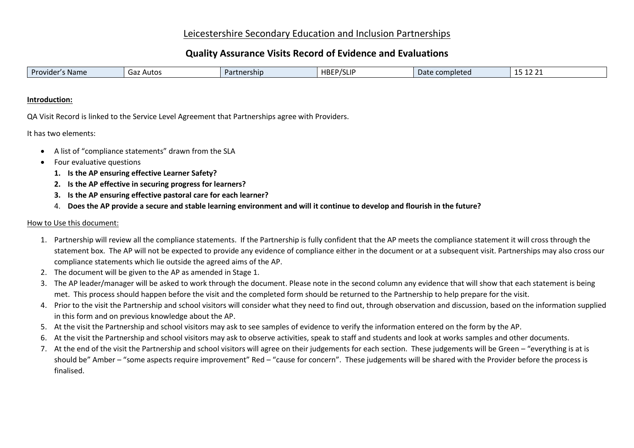## Leicestershire Secondary Education and Inclusion Partnerships

# **Quality Assurance Visits Record of Evidence and Evaluations**

| <b>HBEP/SLIF</b><br>l Provider'<br>Date<br>completed<br><b>Name</b><br>tnership<br>Autos<br>uaz<br>-14 4 1 |
|------------------------------------------------------------------------------------------------------------|
|------------------------------------------------------------------------------------------------------------|

#### **Introduction:**

QA Visit Record is linked to the Service Level Agreement that Partnerships agree with Providers.

It has two elements:

- A list of "compliance statements" drawn from the SLA
- Four evaluative questions
	- **1. Is the AP ensuring effective Learner Safety?**
	- **2. Is the AP effective in securing progress for learners?**
	- **3. Is the AP ensuring effective pastoral care for each learner?**
	- 4. **Does the AP provide a secure and stable learning environment and will it continue to develop and flourish in the future?**

### How to Use this document:

- 1. Partnership will review all the compliance statements. If the Partnership is fully confident that the AP meets the compliance statement it will cross through the statement box. The AP will not be expected to provide any evidence of compliance either in the document or at a subsequent visit. Partnerships may also cross our compliance statements which lie outside the agreed aims of the AP.
- 2. The document will be given to the AP as amended in Stage 1.
- 3. The AP leader/manager will be asked to work through the document. Please note in the second column any evidence that will show that each statement is being met. This process should happen before the visit and the completed form should be returned to the Partnership to help prepare for the visit.
- 4. Prior to the visit the Partnership and school visitors will consider what they need to find out, through observation and discussion, based on the information supplied in this form and on previous knowledge about the AP.
- 5. At the visit the Partnership and school visitors may ask to see samples of evidence to verify the information entered on the form by the AP.
- 6. At the visit the Partnership and school visitors may ask to observe activities, speak to staff and students and look at works samples and other documents.
- 7. At the end of the visit the Partnership and school visitors will agree on their judgements for each section. These judgements will be Green "everything is at is should be" Amber – "some aspects require improvement" Red – "cause for concern". These judgements will be shared with the Provider before the process is finalised.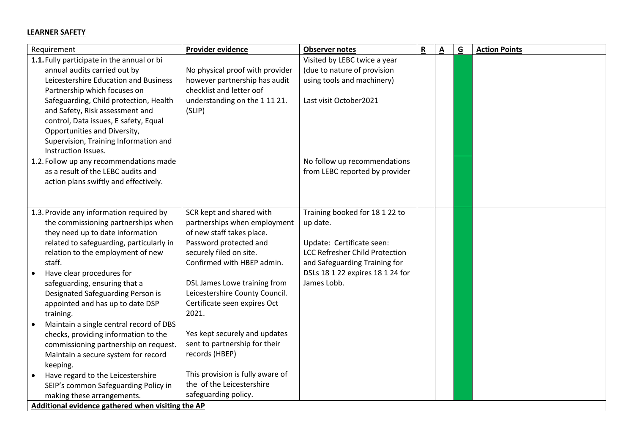#### **LEARNER SAFETY**

| Requirement                                       | Provider evidence                | <b>Observer notes</b>                 | $\underline{\mathbf{R}}$ | $\underline{\mathbf{A}}$ | $\underline{\mathsf{G}}$ | <b>Action Points</b> |
|---------------------------------------------------|----------------------------------|---------------------------------------|--------------------------|--------------------------|--------------------------|----------------------|
| 1.1. Fully participate in the annual or bi        |                                  | Visited by LEBC twice a year          |                          |                          |                          |                      |
| annual audits carried out by                      | No physical proof with provider  | (due to nature of provision           |                          |                          |                          |                      |
| Leicestershire Education and Business             | however partnership has audit    | using tools and machinery)            |                          |                          |                          |                      |
| Partnership which focuses on                      | checklist and letter oof         |                                       |                          |                          |                          |                      |
| Safeguarding, Child protection, Health            | understanding on the 11121.      | Last visit October2021                |                          |                          |                          |                      |
| and Safety, Risk assessment and                   | (SLIP)                           |                                       |                          |                          |                          |                      |
| control, Data issues, E safety, Equal             |                                  |                                       |                          |                          |                          |                      |
| Opportunities and Diversity,                      |                                  |                                       |                          |                          |                          |                      |
| Supervision, Training Information and             |                                  |                                       |                          |                          |                          |                      |
| Instruction Issues.                               |                                  |                                       |                          |                          |                          |                      |
| 1.2. Follow up any recommendations made           |                                  | No follow up recommendations          |                          |                          |                          |                      |
| as a result of the LEBC audits and                |                                  | from LEBC reported by provider        |                          |                          |                          |                      |
| action plans swiftly and effectively.             |                                  |                                       |                          |                          |                          |                      |
|                                                   |                                  |                                       |                          |                          |                          |                      |
|                                                   |                                  |                                       |                          |                          |                          |                      |
| 1.3. Provide any information required by          | SCR kept and shared with         | Training booked for 18 1 22 to        |                          |                          |                          |                      |
| the commissioning partnerships when               | partnerships when employment     | up date.                              |                          |                          |                          |                      |
| they need up to date information                  | of new staff takes place.        |                                       |                          |                          |                          |                      |
| related to safeguarding, particularly in          | Password protected and           | Update: Certificate seen:             |                          |                          |                          |                      |
| relation to the employment of new                 | securely filed on site.          | <b>LCC Refresher Child Protection</b> |                          |                          |                          |                      |
| staff.                                            | Confirmed with HBEP admin.       | and Safeguarding Training for         |                          |                          |                          |                      |
| Have clear procedures for                         |                                  | DSLs 18 1 22 expires 18 1 24 for      |                          |                          |                          |                      |
| safeguarding, ensuring that a                     | DSL James Lowe training from     | James Lobb.                           |                          |                          |                          |                      |
| Designated Safeguarding Person is                 | Leicestershire County Council.   |                                       |                          |                          |                          |                      |
| appointed and has up to date DSP                  | Certificate seen expires Oct     |                                       |                          |                          |                          |                      |
| training.                                         | 2021.                            |                                       |                          |                          |                          |                      |
| Maintain a single central record of DBS           |                                  |                                       |                          |                          |                          |                      |
| checks, providing information to the              | Yes kept securely and updates    |                                       |                          |                          |                          |                      |
| commissioning partnership on request.             | sent to partnership for their    |                                       |                          |                          |                          |                      |
| Maintain a secure system for record               | records (HBEP)                   |                                       |                          |                          |                          |                      |
| keeping.                                          |                                  |                                       |                          |                          |                          |                      |
| Have regard to the Leicestershire                 | This provision is fully aware of |                                       |                          |                          |                          |                      |
| SEIP's common Safeguarding Policy in              | the of the Leicestershire        |                                       |                          |                          |                          |                      |
| making these arrangements.                        | safeguarding policy.             |                                       |                          |                          |                          |                      |
| Additional evidence gathered when visiting the AP |                                  |                                       |                          |                          |                          |                      |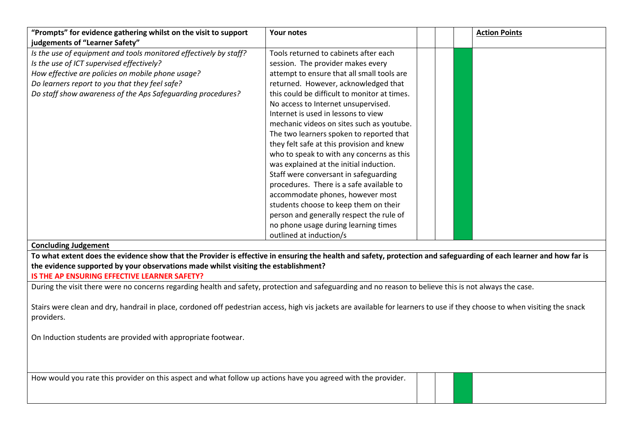| "Prompts" for evidence gathering whilst on the visit to support                                                                                                                                                                                                                                                                                    | Your notes                                                                                                                                                                                                                                                                                                                                                                                                                                                                                                  | <b>Action Points</b> |
|----------------------------------------------------------------------------------------------------------------------------------------------------------------------------------------------------------------------------------------------------------------------------------------------------------------------------------------------------|-------------------------------------------------------------------------------------------------------------------------------------------------------------------------------------------------------------------------------------------------------------------------------------------------------------------------------------------------------------------------------------------------------------------------------------------------------------------------------------------------------------|----------------------|
| judgements of "Learner Safety"<br>Is the use of equipment and tools monitored effectively by staff?<br>Is the use of ICT supervised effectively?<br>How effective are policies on mobile phone usage?<br>Do learners report to you that they feel safe?<br>Do staff show awareness of the Aps Safeguarding procedures?                             | Tools returned to cabinets after each<br>session. The provider makes every<br>attempt to ensure that all small tools are<br>returned. However, acknowledged that<br>this could be difficult to monitor at times.<br>No access to Internet unsupervised.<br>Internet is used in lessons to view                                                                                                                                                                                                              |                      |
|                                                                                                                                                                                                                                                                                                                                                    | mechanic videos on sites such as youtube.<br>The two learners spoken to reported that<br>they felt safe at this provision and knew<br>who to speak to with any concerns as this<br>was explained at the initial induction.<br>Staff were conversant in safeguarding<br>procedures. There is a safe available to<br>accommodate phones, however most<br>students choose to keep them on their<br>person and generally respect the rule of<br>no phone usage during learning times<br>outlined at induction/s |                      |
| <b>Concluding Judgement</b>                                                                                                                                                                                                                                                                                                                        |                                                                                                                                                                                                                                                                                                                                                                                                                                                                                                             |                      |
| To what extent does the evidence show that the Provider is effective in ensuring the health and safety, protection and safeguarding of each learner and how far is<br>the evidence supported by your observations made whilst visiting the establishment?<br>IS THE AP ENSURING EFFECTIVE LEARNER SAFETY?                                          |                                                                                                                                                                                                                                                                                                                                                                                                                                                                                                             |                      |
| During the visit there were no concerns regarding health and safety, protection and safeguarding and no reason to believe this is not always the case.<br>Stairs were clean and dry, handrail in place, cordoned off pedestrian access, high vis jackets are available for learners to use if they choose to when visiting the snack<br>providers. |                                                                                                                                                                                                                                                                                                                                                                                                                                                                                                             |                      |
| On Induction students are provided with appropriate footwear.                                                                                                                                                                                                                                                                                      |                                                                                                                                                                                                                                                                                                                                                                                                                                                                                                             |                      |
| How would you rate this provider on this aspect and what follow up actions have you agreed with the provider.                                                                                                                                                                                                                                      |                                                                                                                                                                                                                                                                                                                                                                                                                                                                                                             |                      |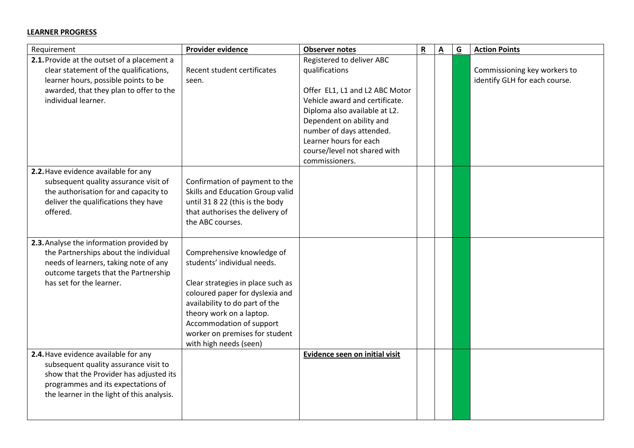#### **LEARNER PROGRESS**

| Requirement                                                                                                                                                                                                  | Provider evidence                                                                                                                                                                                                                                                                       | <b>Observer notes</b>                                                                                                                                                                                                                                                                | $\underline{\mathbf{R}}$ | $\underline{\mathbf{A}}$ | $\overline{G}$ | <b>Action Points</b>                                          |
|--------------------------------------------------------------------------------------------------------------------------------------------------------------------------------------------------------------|-----------------------------------------------------------------------------------------------------------------------------------------------------------------------------------------------------------------------------------------------------------------------------------------|--------------------------------------------------------------------------------------------------------------------------------------------------------------------------------------------------------------------------------------------------------------------------------------|--------------------------|--------------------------|----------------|---------------------------------------------------------------|
| 2.1. Provide at the outset of a placement a<br>clear statement of the qualifications,<br>learner hours, possible points to be<br>awarded, that they plan to offer to the<br>individual learner.              | Recent student certificates<br>seen.                                                                                                                                                                                                                                                    | Registered to deliver ABC<br>qualifications<br>Offer EL1, L1 and L2 ABC Motor<br>Vehicle award and certificate.<br>Diploma also available at L2.<br>Dependent on ability and<br>number of days attended.<br>Learner hours for each<br>course/level not shared with<br>commissioners. |                          |                          |                | Commissioning key workers to<br>identify GLH for each course. |
| 2.2. Have evidence available for any<br>subsequent quality assurance visit of<br>the authorisation for and capacity to<br>deliver the qualifications they have<br>offered.                                   | Confirmation of payment to the<br>Skills and Education Group valid<br>until 31 8 22 (this is the body<br>that authorises the delivery of<br>the ABC courses.                                                                                                                            |                                                                                                                                                                                                                                                                                      |                          |                          |                |                                                               |
| 2.3. Analyse the information provided by<br>the Partnerships about the individual<br>needs of learners, taking note of any<br>outcome targets that the Partnership<br>has set for the learner.               | Comprehensive knowledge of<br>students' individual needs.<br>Clear strategies in place such as<br>coloured paper for dyslexia and<br>availability to do part of the<br>theory work on a laptop.<br>Accommodation of support<br>worker on premises for student<br>with high needs (seen) |                                                                                                                                                                                                                                                                                      |                          |                          |                |                                                               |
| 2.4. Have evidence available for any<br>subsequent quality assurance visit to<br>show that the Provider has adjusted its<br>programmes and its expectations of<br>the learner in the light of this analysis. |                                                                                                                                                                                                                                                                                         | Evidence seen on initial visit                                                                                                                                                                                                                                                       |                          |                          |                |                                                               |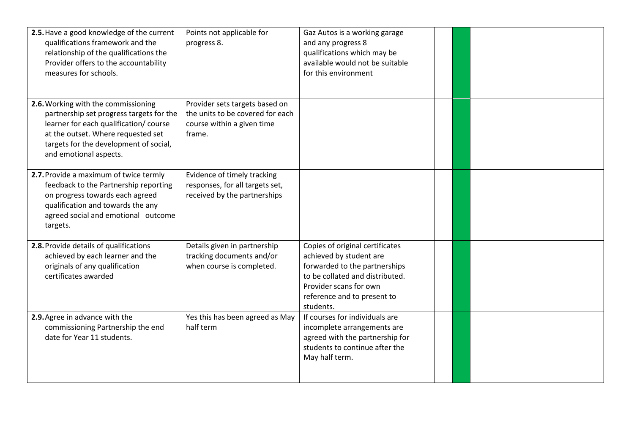| 2.5. Have a good knowledge of the current<br>qualifications framework and the<br>relationship of the qualifications the<br>Provider offers to the accountability<br>measures for schools.                                           | Points not applicable for<br>progress 8.                                                                   | Gaz Autos is a working garage<br>and any progress 8<br>qualifications which may be<br>available would not be suitable<br>for this environment                                                        |  |  |
|-------------------------------------------------------------------------------------------------------------------------------------------------------------------------------------------------------------------------------------|------------------------------------------------------------------------------------------------------------|------------------------------------------------------------------------------------------------------------------------------------------------------------------------------------------------------|--|--|
| 2.6. Working with the commissioning<br>partnership set progress targets for the<br>learner for each qualification/ course<br>at the outset. Where requested set<br>targets for the development of social,<br>and emotional aspects. | Provider sets targets based on<br>the units to be covered for each<br>course within a given time<br>frame. |                                                                                                                                                                                                      |  |  |
| 2.7. Provide a maximum of twice termly<br>feedback to the Partnership reporting<br>on progress towards each agreed<br>qualification and towards the any<br>agreed social and emotional outcome<br>targets.                          | Evidence of timely tracking<br>responses, for all targets set,<br>received by the partnerships             |                                                                                                                                                                                                      |  |  |
| 2.8. Provide details of qualifications<br>achieved by each learner and the<br>originals of any qualification<br>certificates awarded                                                                                                | Details given in partnership<br>tracking documents and/or<br>when course is completed.                     | Copies of original certificates<br>achieved by student are<br>forwarded to the partnerships<br>to be collated and distributed.<br>Provider scans for own<br>reference and to present to<br>students. |  |  |
| 2.9. Agree in advance with the<br>commissioning Partnership the end<br>date for Year 11 students.                                                                                                                                   | Yes this has been agreed as May<br>half term                                                               | If courses for individuals are<br>incomplete arrangements are<br>agreed with the partnership for<br>students to continue after the<br>May half term.                                                 |  |  |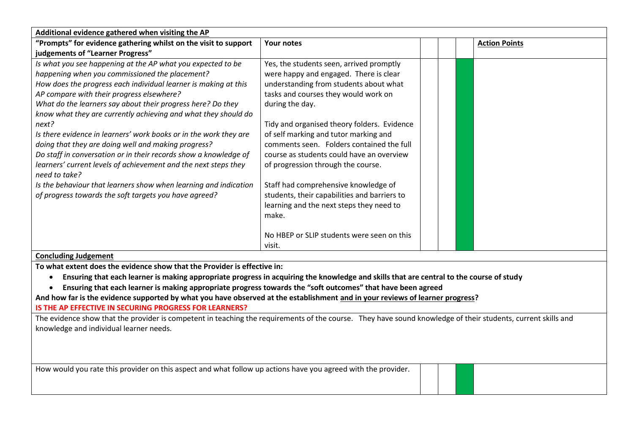| Additional evidence gathered when visiting the AP                                                                                                                                       |                                              |                      |
|-----------------------------------------------------------------------------------------------------------------------------------------------------------------------------------------|----------------------------------------------|----------------------|
| "Prompts" for evidence gathering whilst on the visit to support                                                                                                                         | <b>Your notes</b>                            | <b>Action Points</b> |
| judgements of "Learner Progress"                                                                                                                                                        |                                              |                      |
| Is what you see happening at the AP what you expected to be                                                                                                                             | Yes, the students seen, arrived promptly     |                      |
| happening when you commissioned the placement?                                                                                                                                          | were happy and engaged. There is clear       |                      |
| How does the progress each individual learner is making at this                                                                                                                         | understanding from students about what       |                      |
| AP compare with their progress elsewhere?                                                                                                                                               | tasks and courses they would work on         |                      |
| What do the learners say about their progress here? Do they                                                                                                                             | during the day.                              |                      |
| know what they are currently achieving and what they should do                                                                                                                          |                                              |                      |
| next?                                                                                                                                                                                   | Tidy and organised theory folders. Evidence  |                      |
| Is there evidence in learners' work books or in the work they are                                                                                                                       | of self marking and tutor marking and        |                      |
| doing that they are doing well and making progress?                                                                                                                                     | comments seen. Folders contained the full    |                      |
| Do staff in conversation or in their records show a knowledge of                                                                                                                        | course as students could have an overview    |                      |
| learners' current levels of achievement and the next steps they<br>need to take?                                                                                                        | of progression through the course.           |                      |
| Is the behaviour that learners show when learning and indication                                                                                                                        | Staff had comprehensive knowledge of         |                      |
| of progress towards the soft targets you have agreed?                                                                                                                                   | students, their capabilities and barriers to |                      |
|                                                                                                                                                                                         | learning and the next steps they need to     |                      |
|                                                                                                                                                                                         | make.                                        |                      |
|                                                                                                                                                                                         |                                              |                      |
|                                                                                                                                                                                         | No HBEP or SLIP students were seen on this   |                      |
|                                                                                                                                                                                         | visit.                                       |                      |
| <b>Concluding Judgement</b>                                                                                                                                                             |                                              |                      |
| To what extent does the evidence show that the Provider is effective in:                                                                                                                |                                              |                      |
| Ensuring that each learner is making appropriate progress in acquiring the knowledge and skills that are central to the course of study<br>$\bullet$                                    |                                              |                      |
| Ensuring that each learner is making appropriate progress towards the "soft outcomes" that have been agreed                                                                             |                                              |                      |
| And how far is the evidence supported by what you have observed at the establishment and in your reviews of learner progress?<br>IS THE AP EFFECTIVE IN SECURING PROGRESS FOR LEARNERS? |                                              |                      |
| The evidence show that the provider is competent in teaching the requirements of the course. They have sound knowledge of their students, current skills and                            |                                              |                      |
| knowledge and individual learner needs.                                                                                                                                                 |                                              |                      |
|                                                                                                                                                                                         |                                              |                      |
|                                                                                                                                                                                         |                                              |                      |
|                                                                                                                                                                                         |                                              |                      |
| How would you rate this provider on this aspect and what follow up actions have you agreed with the provider.                                                                           |                                              |                      |
|                                                                                                                                                                                         |                                              |                      |
|                                                                                                                                                                                         |                                              |                      |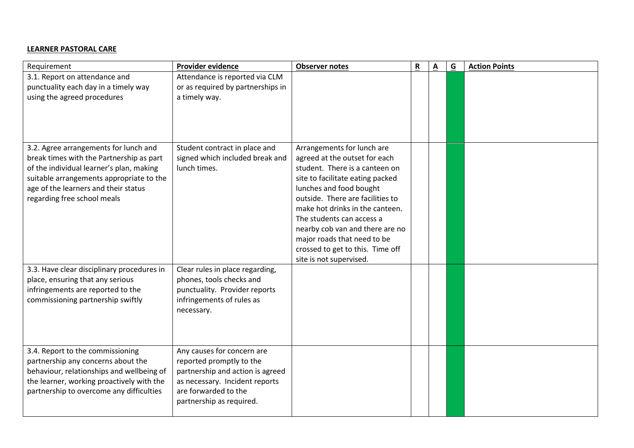### **LEARNER PASTORAL CARE**

| Requirement                                                                                                                                                                                                                                      | Provider evidence                                                                                                                                                                | <b>Observer notes</b>                                                                                                                                                                                                                                                                                                                                                                             | $\mathbf R$ | <u>A</u> | $\overline{G}$ | <b>Action Points</b> |
|--------------------------------------------------------------------------------------------------------------------------------------------------------------------------------------------------------------------------------------------------|----------------------------------------------------------------------------------------------------------------------------------------------------------------------------------|---------------------------------------------------------------------------------------------------------------------------------------------------------------------------------------------------------------------------------------------------------------------------------------------------------------------------------------------------------------------------------------------------|-------------|----------|----------------|----------------------|
| 3.1. Report on attendance and<br>punctuality each day in a timely way<br>using the agreed procedures                                                                                                                                             | Attendance is reported via CLM<br>or as required by partnerships in<br>a timely way.                                                                                             |                                                                                                                                                                                                                                                                                                                                                                                                   |             |          |                |                      |
| 3.2. Agree arrangements for lunch and<br>break times with the Partnership as part<br>of the individual learner's plan, making<br>suitable arrangements appropriate to the<br>age of the learners and their status<br>regarding free school meals | Student contract in place and<br>signed which included break and<br>lunch times.                                                                                                 | Arrangements for lunch are<br>agreed at the outset for each<br>student. There is a canteen on<br>site to facilitate eating packed<br>lunches and food bought<br>outside. There are facilities to<br>make hot drinks in the canteen.<br>The students can access a<br>nearby cob van and there are no<br>major roads that need to be<br>crossed to get to this. Time off<br>site is not supervised. |             |          |                |                      |
| 3.3. Have clear disciplinary procedures in<br>place, ensuring that any serious<br>infringements are reported to the<br>commissioning partnership swiftly                                                                                         | Clear rules in place regarding,<br>phones, tools checks and<br>punctuality. Provider reports<br>infringements of rules as<br>necessary.                                          |                                                                                                                                                                                                                                                                                                                                                                                                   |             |          |                |                      |
| 3.4. Report to the commissioning<br>partnership any concerns about the<br>behaviour, relationships and wellbeing of<br>the learner, working proactively with the<br>partnership to overcome any difficulties                                     | Any causes for concern are<br>reported promptly to the<br>partnership and action is agreed<br>as necessary. Incident reports<br>are forwarded to the<br>partnership as required. |                                                                                                                                                                                                                                                                                                                                                                                                   |             |          |                |                      |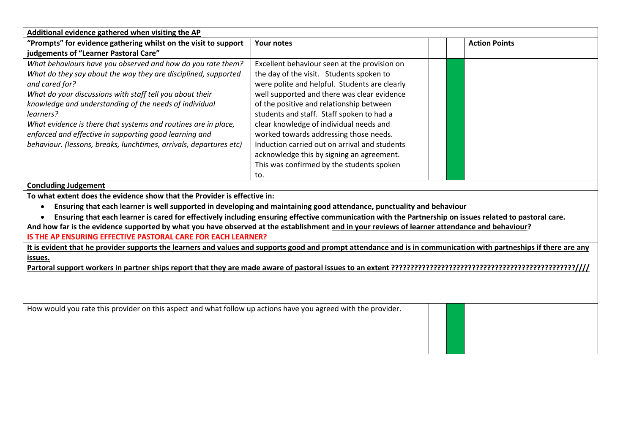| Additional evidence gathered when visiting the AP                                                                                                                 |                                               |                      |
|-------------------------------------------------------------------------------------------------------------------------------------------------------------------|-----------------------------------------------|----------------------|
| "Prompts" for evidence gathering whilst on the visit to support                                                                                                   | <b>Your notes</b>                             | <b>Action Points</b> |
| judgements of "Learner Pastoral Care"                                                                                                                             |                                               |                      |
| What behaviours have you observed and how do you rate them?                                                                                                       | Excellent behaviour seen at the provision on  |                      |
| What do they say about the way they are disciplined, supported                                                                                                    | the day of the visit. Students spoken to      |                      |
| and cared for?                                                                                                                                                    | were polite and helpful. Students are clearly |                      |
| What do your discussions with staff tell you about their                                                                                                          | well supported and there was clear evidence   |                      |
| knowledge and understanding of the needs of individual                                                                                                            | of the positive and relationship between      |                      |
| learners?                                                                                                                                                         | students and staff. Staff spoken to had a     |                      |
| What evidence is there that systems and routines are in place,                                                                                                    | clear knowledge of individual needs and       |                      |
| enforced and effective in supporting good learning and                                                                                                            | worked towards addressing those needs.        |                      |
| behaviour. (lessons, breaks, lunchtimes, arrivals, departures etc)                                                                                                | Induction carried out on arrival and students |                      |
|                                                                                                                                                                   | acknowledge this by signing an agreement.     |                      |
|                                                                                                                                                                   | This was confirmed by the students spoken     |                      |
|                                                                                                                                                                   | to.                                           |                      |
| <b>Concluding Judgement</b>                                                                                                                                       |                                               |                      |
| To what extent does the evidence show that the Provider is effective in:                                                                                          |                                               |                      |
| Ensuring that each learner is well supported in developing and maintaining good attendance, punctuality and behaviour                                             |                                               |                      |
| Ensuring that each learner is cared for effectively including ensuring effective communication with the Partnership on issues related to pastoral care.           |                                               |                      |
| And how far is the evidence supported by what you have observed at the establishment and in your reviews of learner attendance and behaviour?                     |                                               |                      |
| IS THE AP ENSURING EFFECTIVE PASTORAL CARE FOR EACH LEARNER?                                                                                                      |                                               |                      |
| It is evident that he provider supports the learners and values and supports good and prompt attendance and is in communication with partneships if there are any |                                               |                      |
| issues.                                                                                                                                                           |                                               |                      |
|                                                                                                                                                                   |                                               |                      |
|                                                                                                                                                                   |                                               |                      |
|                                                                                                                                                                   |                                               |                      |
|                                                                                                                                                                   |                                               |                      |
| How would you rate this provider on this aspect and what follow up actions have you agreed with the provider.                                                     |                                               |                      |
|                                                                                                                                                                   |                                               |                      |
|                                                                                                                                                                   |                                               |                      |
|                                                                                                                                                                   |                                               |                      |
|                                                                                                                                                                   |                                               |                      |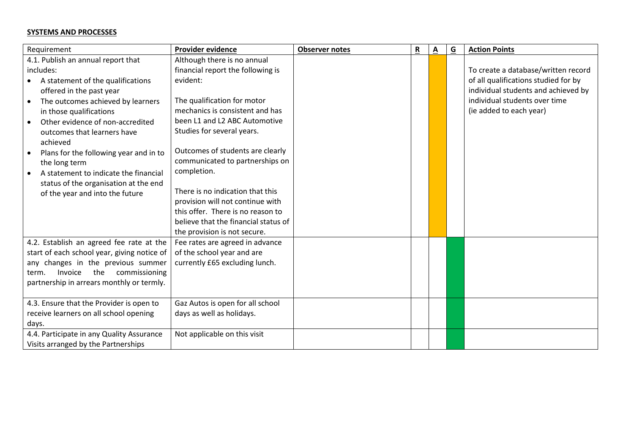#### **SYSTEMS AND PROCESSES**

| Requirement                                   | <b>Provider evidence</b>             | <b>Observer notes</b> | $\mathbf R$ | $\underline{\mathsf{A}}$ | $\overline{G}$ | <b>Action Points</b>                 |
|-----------------------------------------------|--------------------------------------|-----------------------|-------------|--------------------------|----------------|--------------------------------------|
| 4.1. Publish an annual report that            | Although there is no annual          |                       |             |                          |                |                                      |
| includes:                                     | financial report the following is    |                       |             |                          |                | To create a database/written record  |
| A statement of the qualifications             | evident:                             |                       |             |                          |                | of all qualifications studied for by |
| offered in the past year                      |                                      |                       |             |                          |                | individual students and achieved by  |
| The outcomes achieved by learners             | The qualification for motor          |                       |             |                          |                | individual students over time        |
| in those qualifications                       | mechanics is consistent and has      |                       |             |                          |                | (ie added to each year)              |
| Other evidence of non-accredited<br>$\bullet$ | been L1 and L2 ABC Automotive        |                       |             |                          |                |                                      |
| outcomes that learners have                   | Studies for several years.           |                       |             |                          |                |                                      |
| achieved                                      |                                      |                       |             |                          |                |                                      |
| Plans for the following year and in to        | Outcomes of students are clearly     |                       |             |                          |                |                                      |
| the long term                                 | communicated to partnerships on      |                       |             |                          |                |                                      |
| A statement to indicate the financial         | completion.                          |                       |             |                          |                |                                      |
| status of the organisation at the end         | There is no indication that this     |                       |             |                          |                |                                      |
| of the year and into the future               | provision will not continue with     |                       |             |                          |                |                                      |
|                                               | this offer. There is no reason to    |                       |             |                          |                |                                      |
|                                               | believe that the financial status of |                       |             |                          |                |                                      |
|                                               | the provision is not secure.         |                       |             |                          |                |                                      |
| 4.2. Establish an agreed fee rate at the      | Fee rates are agreed in advance      |                       |             |                          |                |                                      |
| start of each school year, giving notice of   | of the school year and are           |                       |             |                          |                |                                      |
| any changes in the previous summer            | currently £65 excluding lunch.       |                       |             |                          |                |                                      |
| the<br>Invoice<br>commissioning<br>term.      |                                      |                       |             |                          |                |                                      |
| partnership in arrears monthly or termly.     |                                      |                       |             |                          |                |                                      |
|                                               |                                      |                       |             |                          |                |                                      |
| 4.3. Ensure that the Provider is open to      | Gaz Autos is open for all school     |                       |             |                          |                |                                      |
| receive learners on all school opening        | days as well as holidays.            |                       |             |                          |                |                                      |
| days.                                         |                                      |                       |             |                          |                |                                      |
| 4.4. Participate in any Quality Assurance     | Not applicable on this visit         |                       |             |                          |                |                                      |
| Visits arranged by the Partnerships           |                                      |                       |             |                          |                |                                      |